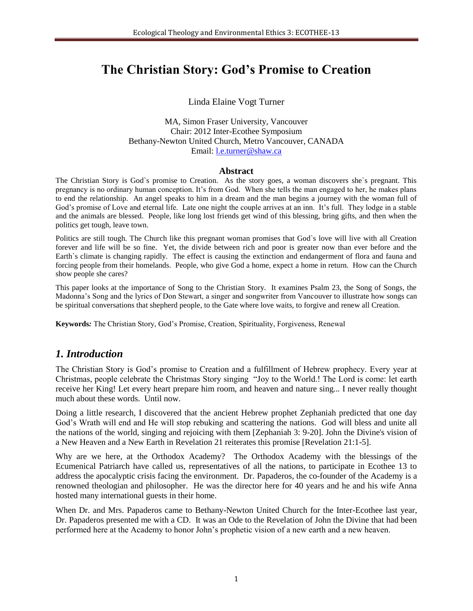# **The Christian Story: God's Promise to Creation**

Linda Elaine Vogt Turner

MA, Simon Fraser University, Vancouver Chair: 2012 Inter-Ecothee Symposium Bethany-Newton United Church, Metro Vancouver, CANADA Email: [l.e.turner@shaw.ca](mailto:l.e.turner@shaw.ca) 

#### **Abstract**

The Christian Story is God`s promise to Creation. As the story goes, a woman discovers she`s pregnant. This pregnancy is no ordinary human conception. It's from God. When she tells the man engaged to her, he makes plans to end the relationship. An angel speaks to him in a dream and the man begins a journey with the woman full of God's promise of Love and eternal life. Late one night the couple arrives at an inn. It's full. They lodge in a stable and the animals are blessed. People, like long lost friends get wind of this blessing, bring gifts, and then when the politics get tough, leave town.

Politics are still tough. The Church like this pregnant woman promises that God`s love will live with all Creation forever and life will be so fine. Yet, the divide between rich and poor is greater now than ever before and the Earth`s climate is changing rapidly. The effect is causing the extinction and endangerment of flora and fauna and forcing people from their homelands. People, who give God a home, expect a home in return. How can the Church show people she cares?

This paper looks at the importance of Song to the Christian Story. It examines Psalm 23, the Song of Songs, the Madonna's Song and the lyrics of Don Stewart, a singer and songwriter from Vancouver to illustrate how songs can be spiritual conversations that shepherd people, to the Gate where love waits, to forgive and renew all Creation.

**Keywords***:* The Christian Story, God's Promise, Creation, Spirituality, Forgiveness, Renewal

## *1. Introduction*

The Christian Story is God's promise to Creation and a fulfillment of Hebrew prophecy. Every year at Christmas, people celebrate the Christmas Story singing "Joy to the World.! The Lord is come: let earth receive her King! Let every heart prepare him room, and heaven and nature sing... I never really thought much about these words. Until now.

Doing a little research, I discovered that the ancient Hebrew prophet Zephaniah predicted that one day God's Wrath will end and He will stop rebuking and scattering the nations. God will bless and unite all the nations of the world, singing and rejoicing with them [Zephaniah 3: 9-20]. John the Divine's vision of a New Heaven and a New Earth in Revelation 21 reiterates this promise [Revelation 21:1-5].

Why are we here, at the Orthodox Academy? The Orthodox Academy with the blessings of the Ecumenical Patriarch have called us, representatives of all the nations, to participate in Ecothee 13 to address the apocalyptic crisis facing the environment. Dr. Papaderos, the co-founder of the Academy is a renowned theologian and philosopher. He was the director here for 40 years and he and his wife Anna hosted many international guests in their home.

When Dr. and Mrs. Papaderos came to Bethany-Newton United Church for the Inter-Ecothee last year, Dr. Papaderos presented me with a CD. It was an Ode to the Revelation of John the Divine that had been performed here at the Academy to honor John's prophetic vision of a new earth and a new heaven.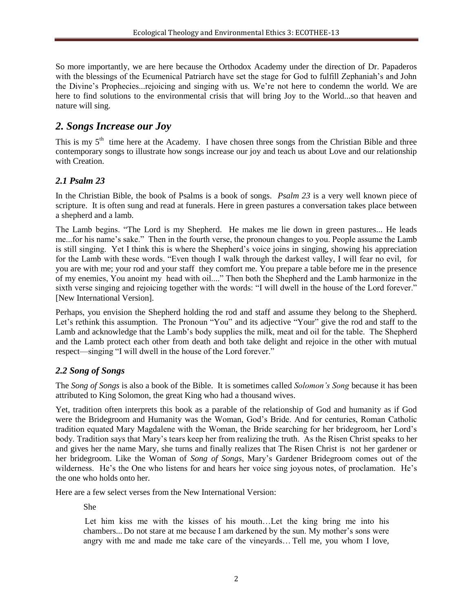So more importantly, we are here because the Orthodox Academy under the direction of Dr. Papaderos with the blessings of the Ecumenical Patriarch have set the stage for God to fulfill Zephaniah's and John the Divine's Prophecies...rejoicing and singing with us. We're not here to condemn the world. We are here to find solutions to the environmental crisis that will bring Joy to the World...so that heaven and nature will sing.

## *2. Songs Increase our Joy*

This is my  $5<sup>th</sup>$  time here at the Academy. I have chosen three songs from the Christian Bible and three contemporary songs to illustrate how songs increase our joy and teach us about Love and our relationship with Creation.

### *2.1 Psalm 23*

In the Christian Bible, the book of Psalms is a book of songs. *Psalm 23* is a very well known piece of scripture. It is often sung and read at funerals. Here in green pastures a conversation takes place between a shepherd and a lamb.

The Lamb begins. "The Lord is my Shepherd. He makes me lie down in green pastures... He leads me...for his name's sake." Then in the fourth verse, the pronoun changes to you. People assume the Lamb is still singing. Yet I think this is where the Shepherd's voice joins in singing, showing his appreciation for the Lamb with these words. "Even though I walk through the darkest valley, I will fear no evil, for you are with me; your rod and your staff they comfort me. You prepare a table before me in the presence of my enemies, You anoint my head with oil...." Then both the Shepherd and the Lamb harmonize in the sixth verse singing and rejoicing together with the words: "I will dwell in the house of the Lord forever." [New International Version].

Perhaps, you envision the Shepherd holding the rod and staff and assume they belong to the Shepherd. Let's rethink this assumption. The Pronoun "You" and its adjective "Your" give the rod and staff to the Lamb and acknowledge that the Lamb's body supplies the milk, meat and oil for the table. The Shepherd and the Lamb protect each other from death and both take delight and rejoice in the other with mutual respect—singing "I will dwell in the house of the Lord forever."

## *2.2 Song of Songs*

The *Song of Songs* is also a book of the Bible. It is sometimes called *Solomon's Song* because it has been attributed to King Solomon, the great King who had a thousand wives.

Yet, tradition often interprets this book as a parable of the relationship of God and humanity as if God were the Bridegroom and Humanity was the Woman, God's Bride. And for centuries, Roman Catholic tradition equated Mary Magdalene with the Woman, the Bride searching for her bridegroom, her Lord's body. Tradition says that Mary's tears keep her from realizing the truth. As the Risen Christ speaks to her and gives her the name Mary, she turns and finally realizes that The Risen Christ is not her gardener or her bridegroom. Like the Woman of *Song of Songs*, Mary's Gardener Bridegroom comes out of the wilderness. He's the One who listens for and hears her voice sing joyous notes, of proclamation. He's the one who holds onto her.

Here are a few select verses from the New International Version:

She

Let him kiss me with the kisses of his mouth…Let the king bring me into his chambers... Do not stare at me because I am darkened by the sun. My mother's sons were angry with me and made me take care of the vineyards… Tell me, you whom I love,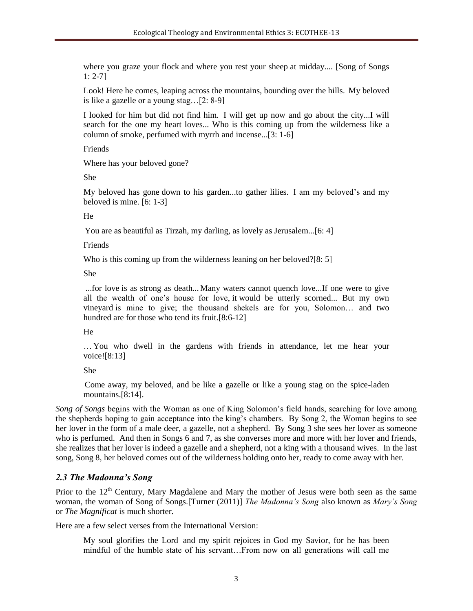where you graze your flock and where you rest your sheep at midday.... [Song of Songs 1: 2-7]

Look! Here he comes, leaping across the mountains, bounding over the hills. My beloved is like a gazelle or a young stag…[2: 8-9]

I looked for him but did not find him. I will get up now and go about the city...I will search for the one my heart loves... Who is this coming up from the wilderness like a column of smoke, perfumed with myrrh and incense...[3: 1-6]

Friends

Where has your beloved gone?

She

My beloved has gone down to his garden...to gather lilies. I am my beloved's and my beloved is mine. [6: 1-3]

He

You are as beautiful as Tirzah, my darling, as lovely as Jerusalem...[6: 4]

Friends

Who is this coming up from the wilderness leaning on her beloved?[8: 5]

She

...for love is as strong as death... Many waters cannot quench love...If one were to give all the wealth of one's house for love, it would be utterly scorned... But my own vineyard is mine to give; the thousand shekels are for you, Solomon… and two hundred are for those who tend its fruit.[8:6-12]

#### He

…You who dwell in the gardens with friends in attendance, let me hear your voice![8:13]

She

Come away, my beloved, and be like a gazelle or like a young stag on the spice-laden mountains.[8:14].

*Song of Songs* begins with the Woman as one of King Solomon's field hands, searching for love among the shepherds hoping to gain acceptance into the king's chambers. By Song 2, the Woman begins to see her lover in the form of a male deer, a gazelle, not a shepherd. By Song 3 she sees her lover as someone who is perfumed. And then in Songs 6 and 7, as she converses more and more with her lover and friends, she realizes that her lover is indeed a gazelle and a shepherd, not a king with a thousand wives. In the last song, Song 8, her beloved comes out of the wilderness holding onto her, ready to come away with her.

#### *2.3 The Madonna's Song*

Prior to the  $12<sup>th</sup>$  Century, Mary Magdalene and Mary the mother of Jesus were both seen as the same woman, the woman of Song of Songs.[Turner (2011)] *The Madonna's Song* also known as *Mary's Song* or *The Magnificat* is much shorter.

Here are a few select verses from the International Version:

My soul glorifies the Lord and my spirit rejoices in God my Savior, for he has been mindful of the humble state of his servant…From now on all generations will call me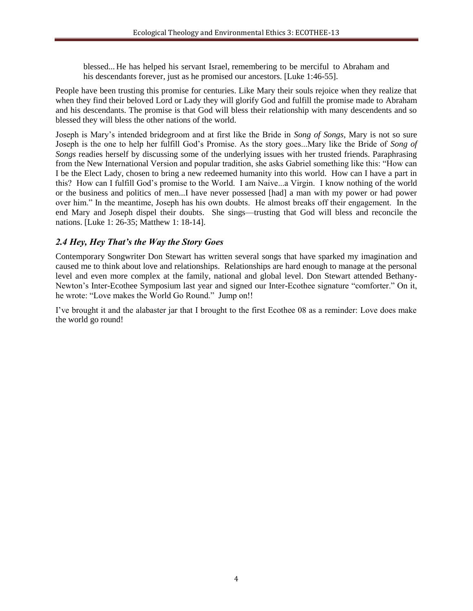blessed... He has helped his servant Israel, remembering to be merciful to Abraham and his descendants forever, just as he promised our ancestors. [Luke 1:46-55].

People have been trusting this promise for centuries. Like Mary their souls rejoice when they realize that when they find their beloved Lord or Lady they will glorify God and fulfill the promise made to Abraham and his descendants. The promise is that God will bless their relationship with many descendents and so blessed they will bless the other nations of the world.

Joseph is Mary's intended bridegroom and at first like the Bride in *Song of Songs*, Mary is not so sure Joseph is the one to help her fulfill God's Promise. As the story goes...Mary like the Bride of *Song of Songs* readies herself by discussing some of the underlying issues with her trusted friends. Paraphrasing from the New International Version and popular tradition, she asks Gabriel something like this: "How can I be the Elect Lady, chosen to bring a new redeemed humanity into this world. How can I have a part in this? How can I fulfill God's promise to the World. I am Naive...a Virgin. I know nothing of the world or the business and politics of men...I have never possessed [had] a man with my power or had power over him." In the meantime, Joseph has his own doubts. He almost breaks off their engagement. In the end Mary and Joseph dispel their doubts. She sings—trusting that God will bless and reconcile the nations. [Luke 1: 26-35; Matthew 1: 18-14].

#### *2.4 Hey, Hey That's the Way the Story Goes*

Contemporary Songwriter Don Stewart has written several songs that have sparked my imagination and caused me to think about love and relationships. Relationships are hard enough to manage at the personal level and even more complex at the family, national and global level. Don Stewart attended Bethany-Newton's Inter-Ecothee Symposium last year and signed our Inter-Ecothee signature "comforter." On it, he wrote: "Love makes the World Go Round." Jump on!!

I've brought it and the alabaster jar that I brought to the first Ecothee 08 as a reminder: Love does make the world go round!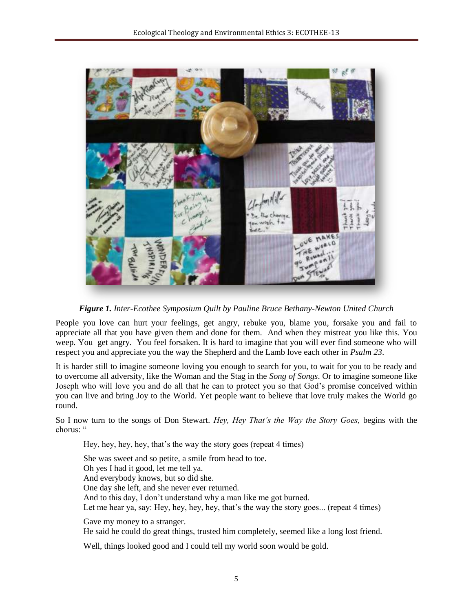

*Figure 1. Inter-Ecothee Symposium Quilt by Pauline Bruce Bethany-Newton United Church*

People you love can hurt your feelings, get angry, rebuke you, blame you, forsake you and fail to appreciate all that you have given them and done for them. And when they mistreat you like this. You weep. You get angry. You feel forsaken. It is hard to imagine that you will ever find someone who will respect you and appreciate you the way the Shepherd and the Lamb love each other in *Psalm 23*.

It is harder still to imagine someone loving you enough to search for you, to wait for you to be ready and to overcome all adversity, like the Woman and the Stag in the *Song of Songs*. Or to imagine someone like Joseph who will love you and do all that he can to protect you so that God's promise conceived within you can live and bring Joy to the World. Yet people want to believe that love truly makes the World go round.

So I now turn to the songs of Don Stewart. *Hey, Hey That's the Way the Story Goes,* begins with the chorus: "

Hey, hey, hey, hey, that's the way the story goes (repeat 4 times)

She was sweet and so petite, a smile from head to toe. Oh yes I had it good, let me tell ya. And everybody knows, but so did she. One day she left, and she never ever returned. And to this day, I don't understand why a man like me got burned. Let me hear ya, say: Hey, hey, hey, hey, that's the way the story goes... (repeat 4 times)

Gave my money to a stranger. He said he could do great things, trusted him completely, seemed like a long lost friend.

Well, things looked good and I could tell my world soon would be gold.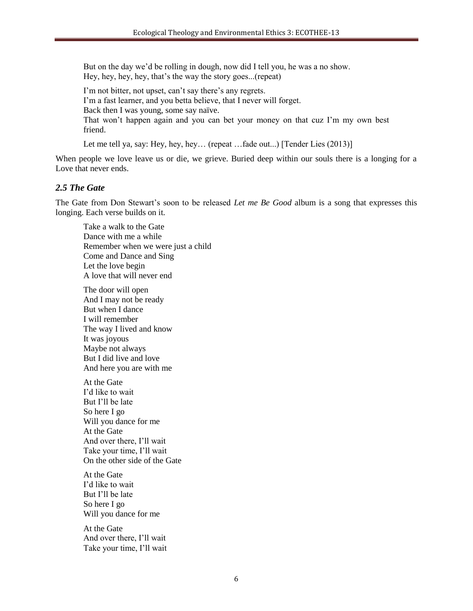But on the day we'd be rolling in dough, now did I tell you, he was a no show. Hey, hey, hey, hey, that's the way the story goes...(repeat)

I'm not bitter, not upset, can't say there's any regrets. I'm a fast learner, and you betta believe, that I never will forget. Back then I was young, some say naïve. That won't happen again and you can bet your money on that cuz I'm my own best friend.

Let me tell ya, say: Hey, hey, hey... (repeat ...fade out...) [Tender Lies (2013)]

When people we love leave us or die, we grieve. Buried deep within our souls there is a longing for a Love that never ends.

#### *2.5 The Gate*

The Gate from Don Stewart's soon to be released *Let me Be Good* album is a song that expresses this longing. Each verse builds on it.

Take a walk to the Gate Dance with me a while Remember when we were just a child Come and Dance and Sing Let the love begin A love that will never end

The door will open And I may not be ready But when I dance I will remember The way I lived and know It was joyous Maybe not always But I did live and love And here you are with me

At the Gate I'd like to wait But I'll be late So here I go Will you dance for me At the Gate And over there, I'll wait Take your time, I'll wait On the other side of the Gate

At the Gate I'd like to wait But I'll be late So here I go Will you dance for me

At the Gate And over there, I'll wait Take your time, I'll wait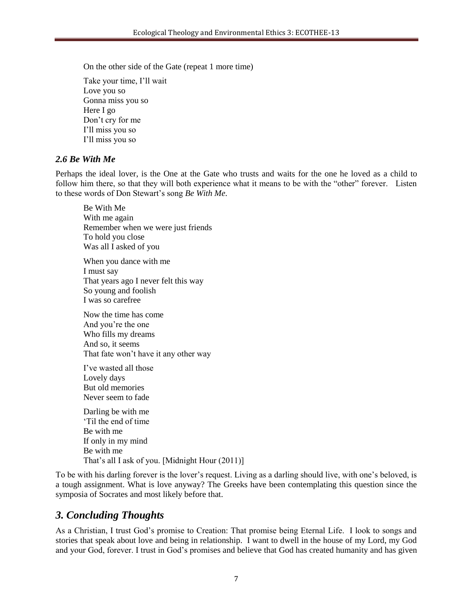On the other side of the Gate (repeat 1 more time)

Take your time, I'll wait Love you so Gonna miss you so Here I go Don't cry for me I'll miss you so I'll miss you so

#### *2.6 Be With Me*

Perhaps the ideal lover, is the One at the Gate who trusts and waits for the one he loved as a child to follow him there, so that they will both experience what it means to be with the "other" forever. Listen to these words of Don Stewart's song *Be With Me.*

Be With Me With me again Remember when we were just friends To hold you close Was all I asked of you When you dance with me

I must say That years ago I never felt this way So young and foolish I was so carefree

Now the time has come And you're the one Who fills my dreams And so, it seems That fate won't have it any other way

I've wasted all those Lovely days But old memories Never seem to fade

Darling be with me 'Til the end of time Be with me If only in my mind Be with me That's all I ask of you. [Midnight Hour (2011)]

To be with his darling forever is the lover's request. Living as a darling should live, with one's beloved, is a tough assignment. What is love anyway? The Greeks have been contemplating this question since the symposia of Socrates and most likely before that.

## *3. Concluding Thoughts*

As a Christian, I trust God's promise to Creation: That promise being Eternal Life. I look to songs and stories that speak about love and being in relationship. I want to dwell in the house of my Lord, my God and your God, forever. I trust in God's promises and believe that God has created humanity and has given